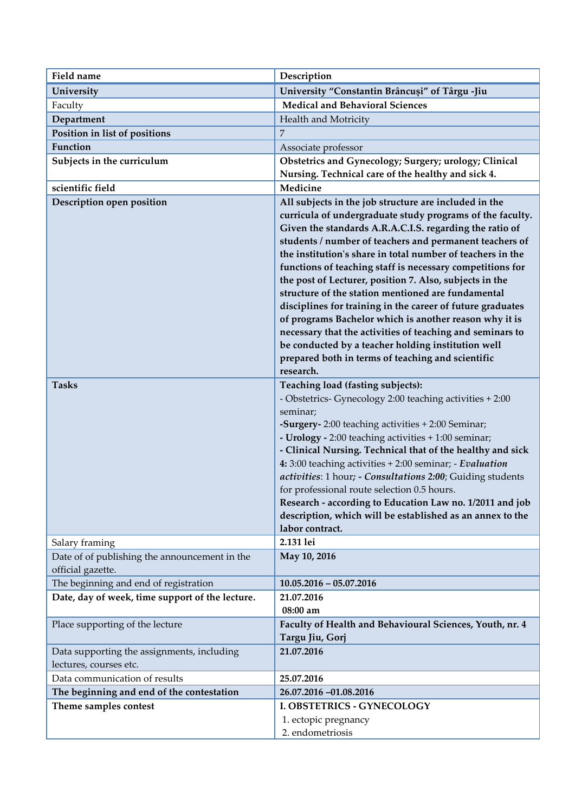| <b>Field name</b>                                                    | Description                                                                                                                                                                                                                                                                                                                                                                                                                                                                                                                                                                                                                                                                                                                                                                                       |
|----------------------------------------------------------------------|---------------------------------------------------------------------------------------------------------------------------------------------------------------------------------------------------------------------------------------------------------------------------------------------------------------------------------------------------------------------------------------------------------------------------------------------------------------------------------------------------------------------------------------------------------------------------------------------------------------------------------------------------------------------------------------------------------------------------------------------------------------------------------------------------|
| University                                                           | University "Constantin Brâncuși" of Târgu -Jiu                                                                                                                                                                                                                                                                                                                                                                                                                                                                                                                                                                                                                                                                                                                                                    |
| Faculty                                                              | <b>Medical and Behavioral Sciences</b>                                                                                                                                                                                                                                                                                                                                                                                                                                                                                                                                                                                                                                                                                                                                                            |
| Department                                                           | Health and Motricity                                                                                                                                                                                                                                                                                                                                                                                                                                                                                                                                                                                                                                                                                                                                                                              |
| Position in list of positions                                        | $\overline{7}$                                                                                                                                                                                                                                                                                                                                                                                                                                                                                                                                                                                                                                                                                                                                                                                    |
| Function                                                             | Associate professor                                                                                                                                                                                                                                                                                                                                                                                                                                                                                                                                                                                                                                                                                                                                                                               |
| Subjects in the curriculum                                           | Obstetrics and Gynecology; Surgery; urology; Clinical<br>Nursing. Technical care of the healthy and sick 4.                                                                                                                                                                                                                                                                                                                                                                                                                                                                                                                                                                                                                                                                                       |
| scientific field                                                     | Medicine                                                                                                                                                                                                                                                                                                                                                                                                                                                                                                                                                                                                                                                                                                                                                                                          |
| Description open position                                            | All subjects in the job structure are included in the<br>curricula of undergraduate study programs of the faculty.<br>Given the standards A.R.A.C.I.S. regarding the ratio of<br>students / number of teachers and permanent teachers of<br>the institution's share in total number of teachers in the<br>functions of teaching staff is necessary competitions for<br>the post of Lecturer, position 7. Also, subjects in the<br>structure of the station mentioned are fundamental<br>disciplines for training in the career of future graduates<br>of programs Bachelor which is another reason why it is<br>necessary that the activities of teaching and seminars to<br>be conducted by a teacher holding institution well<br>prepared both in terms of teaching and scientific<br>research. |
| <b>Tasks</b>                                                         | Teaching load (fasting subjects):                                                                                                                                                                                                                                                                                                                                                                                                                                                                                                                                                                                                                                                                                                                                                                 |
|                                                                      | - Obstetrics- Gynecology 2:00 teaching activities + 2:00<br>seminar;<br>-Surgery-2:00 teaching activities + 2:00 Seminar;<br>- Urology - 2:00 teaching activities + 1:00 seminar;<br>- Clinical Nursing. Technical that of the healthy and sick<br>4: 3:00 teaching activities + 2:00 seminar; - Evaluation<br>activities: 1 hour; - Consultations 2:00; Guiding students<br>for professional route selection 0.5 hours.<br>Research - according to Education Law no. 1/2011 and job<br>description, which will be established as an annex to the<br>labor contract.                                                                                                                                                                                                                              |
| Salary framing                                                       | 2.131 lei                                                                                                                                                                                                                                                                                                                                                                                                                                                                                                                                                                                                                                                                                                                                                                                         |
| Date of of publishing the announcement in the<br>official gazette.   | May 10, 2016                                                                                                                                                                                                                                                                                                                                                                                                                                                                                                                                                                                                                                                                                                                                                                                      |
| The beginning and end of registration                                | $10.05.2016 - 05.07.2016$                                                                                                                                                                                                                                                                                                                                                                                                                                                                                                                                                                                                                                                                                                                                                                         |
| Date, day of week, time support of the lecture.                      | 21.07.2016                                                                                                                                                                                                                                                                                                                                                                                                                                                                                                                                                                                                                                                                                                                                                                                        |
|                                                                      | 08:00 am                                                                                                                                                                                                                                                                                                                                                                                                                                                                                                                                                                                                                                                                                                                                                                                          |
| Place supporting of the lecture                                      | Faculty of Health and Behavioural Sciences, Youth, nr. 4<br>Targu Jiu, Gorj                                                                                                                                                                                                                                                                                                                                                                                                                                                                                                                                                                                                                                                                                                                       |
| Data supporting the assignments, including<br>lectures, courses etc. | 21.07.2016                                                                                                                                                                                                                                                                                                                                                                                                                                                                                                                                                                                                                                                                                                                                                                                        |
| Data communication of results                                        | 25.07.2016                                                                                                                                                                                                                                                                                                                                                                                                                                                                                                                                                                                                                                                                                                                                                                                        |
| The beginning and end of the contestation                            | 26.07.2016 -01.08.2016                                                                                                                                                                                                                                                                                                                                                                                                                                                                                                                                                                                                                                                                                                                                                                            |
| Theme samples contest                                                | I. OBSTETRICS - GYNECOLOGY<br>1. ectopic pregnancy<br>2. endometriosis                                                                                                                                                                                                                                                                                                                                                                                                                                                                                                                                                                                                                                                                                                                            |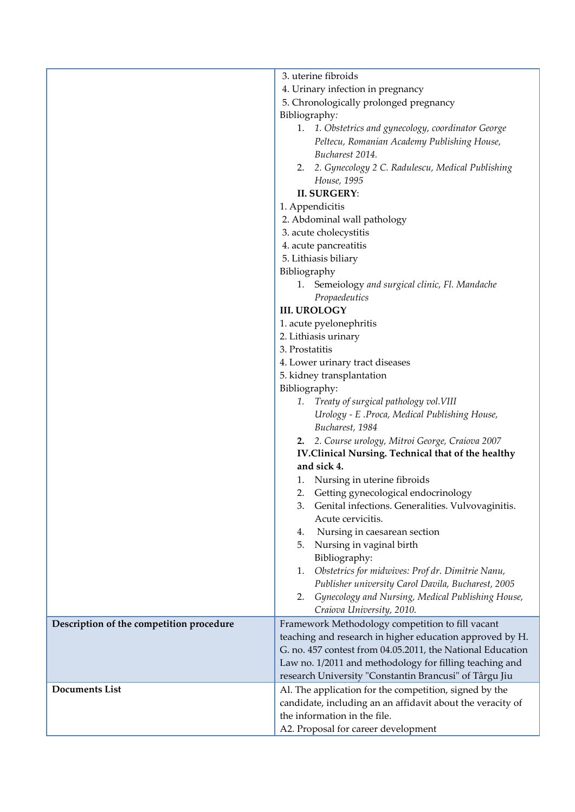|                                          | 3. uterine fibroids                                        |
|------------------------------------------|------------------------------------------------------------|
|                                          | 4. Urinary infection in pregnancy                          |
|                                          | 5. Chronologically prolonged pregnancy                     |
|                                          | Bibliography:                                              |
|                                          | 1. 1. Obstetrics and gynecology, coordinator George        |
|                                          | Peltecu, Romanian Academy Publishing House,                |
|                                          | Bucharest 2014.                                            |
|                                          | 2. 2. Gynecology 2 C. Radulescu, Medical Publishing        |
|                                          | House, 1995                                                |
|                                          | <b>II. SURGERY:</b>                                        |
|                                          | 1. Appendicitis                                            |
|                                          | 2. Abdominal wall pathology                                |
|                                          | 3. acute cholecystitis                                     |
|                                          | 4. acute pancreatitis                                      |
|                                          | 5. Lithiasis biliary                                       |
|                                          | Bibliography                                               |
|                                          | 1. Semeiology and surgical clinic, Fl. Mandache            |
|                                          | Propaedeutics                                              |
|                                          | <b>III. UROLOGY</b>                                        |
|                                          | 1. acute pyelonephritis                                    |
|                                          | 2. Lithiasis urinary                                       |
|                                          | 3. Prostatitis                                             |
|                                          | 4. Lower urinary tract diseases                            |
|                                          | 5. kidney transplantation                                  |
|                                          | Bibliography:                                              |
|                                          | 1. Treaty of surgical pathology vol. VIII                  |
|                                          | Urology - E .Proca, Medical Publishing House,              |
|                                          | Bucharest, 1984                                            |
|                                          | 2. 2. Course urology, Mitroi George, Craiova 2007          |
|                                          | IV.Clinical Nursing. Technical that of the healthy         |
|                                          | and sick 4.                                                |
|                                          | Nursing in uterine fibroids<br>1.                          |
|                                          | Getting gynecological endocrinology<br>2.                  |
|                                          | 3. Genital infections. Generalities. Vulvovaginitis.       |
|                                          | Acute cervicitis.                                          |
|                                          | Nursing in caesarean section<br>4.                         |
|                                          | Nursing in vaginal birth<br>5.                             |
|                                          | Bibliography:                                              |
|                                          | Obstetrics for midwives: Prof dr. Dimitrie Nanu,<br>1.     |
|                                          | Publisher university Carol Davila, Bucharest, 2005         |
|                                          | Gynecology and Nursing, Medical Publishing House,<br>2.    |
|                                          | Craiova University, 2010.                                  |
|                                          | Framework Methodology competition to fill vacant           |
| Description of the competition procedure | teaching and research in higher education approved by H.   |
|                                          |                                                            |
|                                          | G. no. 457 contest from 04.05.2011, the National Education |
|                                          | Law no. 1/2011 and methodology for filling teaching and    |
|                                          | research University "Constantin Brancusi" of Târgu Jiu     |
| <b>Documents List</b>                    | Al. The application for the competition, signed by the     |
|                                          | candidate, including an an affidavit about the veracity of |
|                                          | the information in the file.                               |
|                                          | A2. Proposal for career development                        |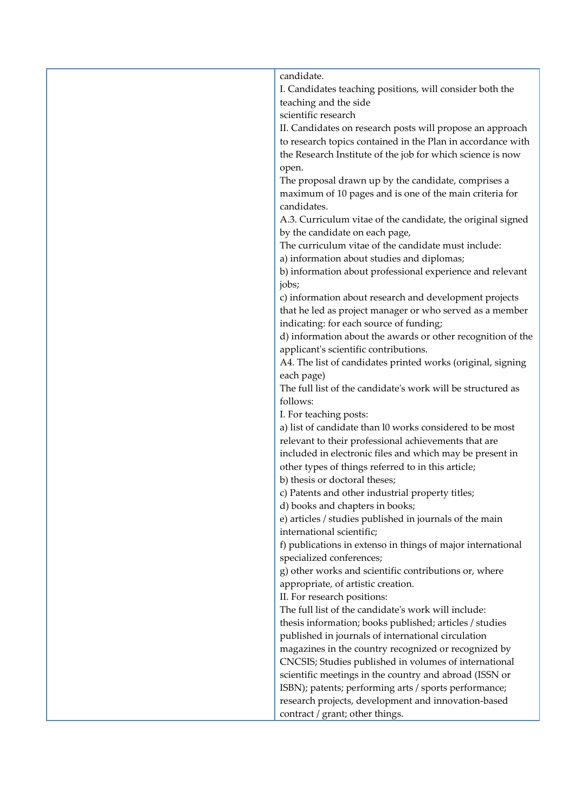| candidate.                                                  |
|-------------------------------------------------------------|
| I. Candidates teaching positions, will consider both the    |
| teaching and the side                                       |
| scientific research                                         |
| II. Candidates on research posts will propose an approach   |
| to research topics contained in the Plan in accordance with |
| the Research Institute of the job for which science is now  |
| open.                                                       |
| The proposal drawn up by the candidate, comprises a         |
| maximum of 10 pages and is one of the main criteria for     |
| candidates.                                                 |
| A.3. Curriculum vitae of the candidate, the original signed |
| by the candidate on each page,                              |
| The curriculum vitae of the candidate must include:         |
| a) information about studies and diplomas;                  |
| b) information about professional experience and relevant   |
| jobs;                                                       |
| c) information about research and development projects      |
| that he led as project manager or who served as a member    |
| indicating: for each source of funding;                     |
| d) information about the awards or other recognition of the |
| applicant's scientific contributions.                       |
| A4. The list of candidates printed works (original, signing |
| each page)                                                  |
| The full list of the candidate's work will be structured as |
| follows:                                                    |
| I. For teaching posts:                                      |
| a) list of candidate than l0 works considered to be most    |
| relevant to their professional achievements that are        |
| included in electronic files and which may be present in    |
| other types of things referred to in this article;          |
| b) thesis or doctoral theses;                               |
| c) Patents and other industrial property titles;            |
| d) books and chapters in books;                             |
| e) articles / studies published in journals of the main     |
| international scientific;                                   |
| f) publications in extenso in things of major international |
| specialized conferences;                                    |
| g) other works and scientific contributions or, where       |
| appropriate, of artistic creation.                          |
| II. For research positions:                                 |
| The full list of the candidate's work will include:         |
| thesis information; books published; articles / studies     |
| published in journals of international circulation          |
| magazines in the country recognized or recognized by        |
| CNCSIS; Studies published in volumes of international       |
| scientific meetings in the country and abroad (ISSN or      |
| ISBN); patents; performing arts / sports performance;       |
| research projects, development and innovation-based         |
| contract / grant; other things.                             |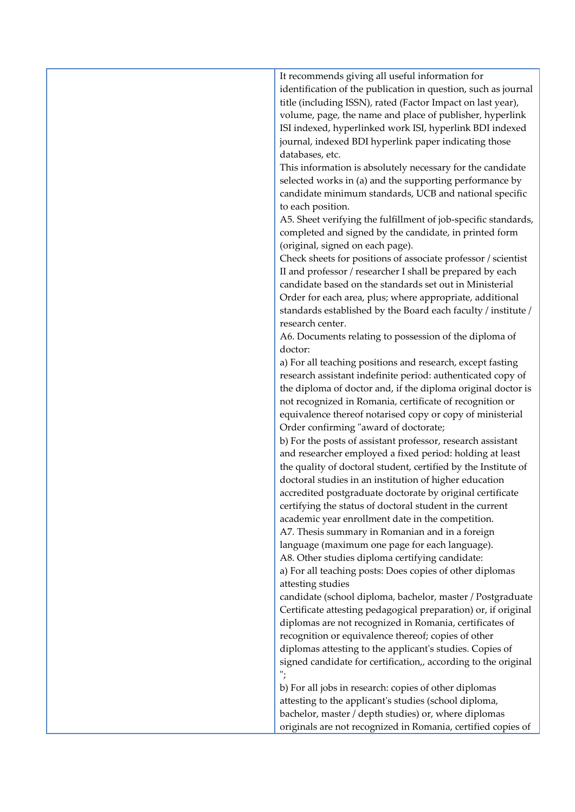It recommends giving all useful information for identification of the publication in question, such as journal title (including ISSN), rated (Factor Impact on last year), volume, page, the name and place of publisher, hyperlink ISI indexed, hyperlinked work ISI, hyperlink BDI indexed journal, indexed BDI hyperlink paper indicating those databases, etc.

This information is absolutely necessary for the candidate selected works in (a) and the supporting performance by candidate minimum standards, UCB and national specific to each position.

A5. Sheet verifying the fulfillment of job-specific standards, completed and signed by the candidate, in printed form (original, signed on each page).

Check sheets for positions of associate professor / scientist II and professor / researcher I shall be prepared by each candidate based on the standards set out in Ministerial Order for each area, plus; where appropriate, additional standards established by the Board each faculty / institute / research center.

A6. Documents relating to possession of the diploma of doctor:

a) For all teaching positions and research, except fasting research assistant indefinite period: authenticated copy of the diploma of doctor and, if the diploma original doctor is not recognized in Romania, certificate of recognition or equivalence thereof notarised copy or copy of ministerial Order confirming "award of doctorate;

b) For the posts of assistant professor, research assistant and researcher employed a fixed period: holding at least the quality of doctoral student, certified by the Institute of doctoral studies in an institution of higher education accredited postgraduate doctorate by original certificate certifying the status of doctoral student in the current academic year enrollment date in the competition. A7. Thesis summary in Romanian and in a foreign

language (maximum one page for each language).

A8. Other studies diploma certifying candidate:

a) For all teaching posts: Does copies of other diplomas attesting studies

candidate (school diploma, bachelor, master / Postgraduate Certificate attesting pedagogical preparation) or, if original diplomas are not recognized in Romania, certificates of recognition or equivalence thereof; copies of other diplomas attesting to the applicant's studies. Copies of signed candidate for certification,, according to the original ";

b) For all jobs in research: copies of other diplomas attesting to the applicant's studies (school diploma, bachelor, master / depth studies) or, where diplomas originals are not recognized in Romania, certified copies of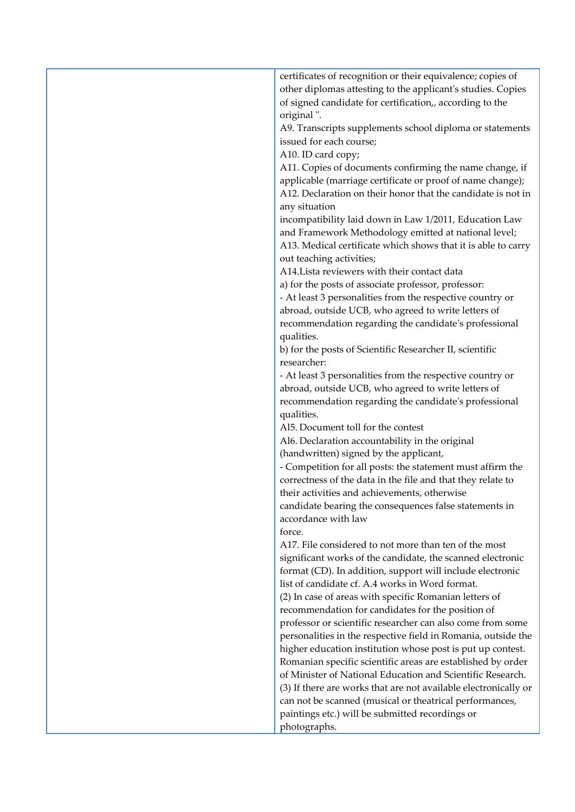certificates of recognition or their equivalence; copies of other diplomas attesting to the applicant's studies. Copies of signed candidate for certification,, according to the original ". A9. Transcripts supplements school diploma or statements issued for each course; A10. ID card copy; A11. Copies of documents confirming the name change, if applicable (marriage certificate or proof of name change); A12. Declaration on their honor that the candidate is not in any situation incompatibility laid down in Law 1/2011, Education Law and Framework Methodology emitted at national level; A13. Medical certificate which shows that it is able to carry out teaching activities; A14.Lista reviewers with their contact data a) for the posts of associate professor, professor: - At least 3 personalities from the respective country or abroad, outside UCB, who agreed to write letters of recommendation regarding the candidate's professional qualities. b) for the posts of Scientific Researcher II, scientific researcher: - At least 3 personalities from the respective country or abroad, outside UCB, who agreed to write letters of recommendation regarding the candidate's professional qualities. Al5. Document toll for the contest Al6. Declaration accountability in the original (handwritten) signed by the applicant, - Competition for all posts: the statement must affirm the correctness of the data in the file and that they relate to their activities and achievements, otherwise candidate bearing the consequences false statements in accordance with law force. A17. File considered to not more than ten of the most significant works of the candidate, the scanned electronic format (CD). In addition, support will include electronic list of candidate cf. A.4 works in Word format. (2) In case of areas with specific Romanian letters of recommendation for candidates for the position of professor or scientific researcher can also come from some personalities in the respective field in Romania, outside the higher education institution whose post is put up contest. Romanian specific scientific areas are established by order of Minister of National Education and Scientific Research. (3) If there are works that are not available electronically or can not be scanned (musical or theatrical performances, paintings etc.) will be submitted recordings or photographs.